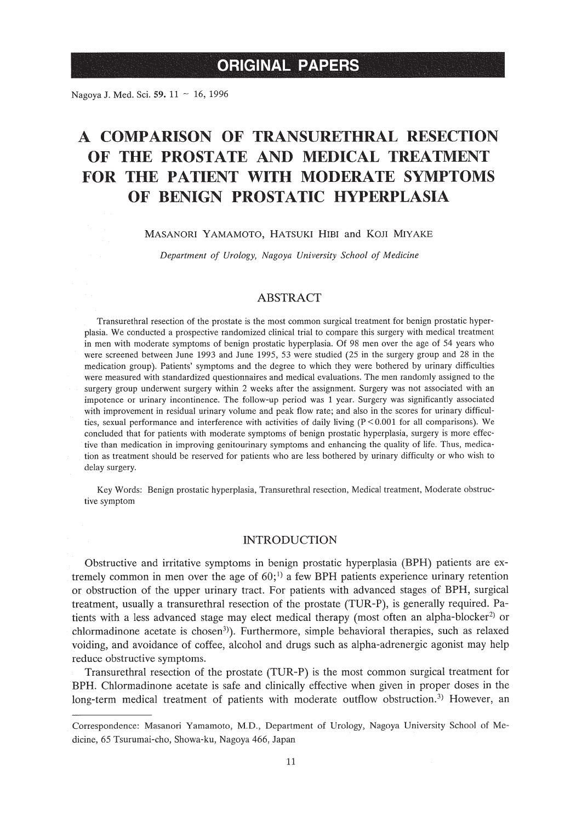Nagoya J. Med. Sci. 59. 11 ~ 16, 1996

# A **COMPARISON OF TRANSURETHRAL RESECTION OF THE PROSTATE AND MEDICAL TREATMENT FOR THE PATIENT WITH MODERATE SYMPTOMS OF BENIGN PROSTATIC HYPERPLASIA**

#### MASANORI YAMAMOTO, HATSUKI HIBI and KOJI MIYAKE

*Department of Urology, Nagoya University School of Medicine*

## ABSTRACT

Transurethral resection of the prostate is the most common surgical treatment for benign prostatic hyperplasia. We conducted a prospective randomized clinical trial to compare this surgery with medical treatment in men with moderate symptoms of benign prostatic hyperplasia. Of 98 men over the age of 54 years who were screened between June 1993 and June 1995, 53 were studied (25 in the surgery group and 28 in the medication group). Patients' symptoms and the degree to which they were bothered by urinary difficulties were measured with standardized questionnaires and medical evaluations. The men randomly assigned to the surgery group underwent surgery within 2 weeks after the assignment. Surgery was not associated with an impotence or urinary incontinence. The follow-up period was 1 year. Surgery was significantly associated with improvement in residual urinary volume and peak flow rate; and also in the scores for urinary difficulties, sexual performance and interference with activities of daily living  $(P < 0.001$  for all comparisons). We concluded that for patients with moderate symptoms of benign prostatic hyperplasia, surgery is more effective than medication in improving genitourinary symptoms and enhancing the quality of life. Thus, medication as treatment should be reserved for patients who are less bothered by urinary difficulty or who wish to delay surgery.

Key Words: Benign prostatic hyperplasia, Transurethral resection, Medical treatment, Moderate obstructive symptom

#### INTRODUCTION

Obstructive and irritative symptoms in benign prostatic hyperplasia (BPH) patients are extremely common in men over the age of  $60$ ;<sup>1)</sup> a few BPH patients experience urinary retention or obstruction of the upper urinary tract. For patients with advanced stages of BPH, surgical treatment, usually a transurethral resection of the prostate (TUR-P), is generally required. Patients with a less advanced stage may elect medical therapy (most often an alpha-blocker<sup>2)</sup> or chlormadinone acetate is chosen<sup>3</sup>). Furthermore, simple behavioral therapies, such as relaxed voiding, and avoidance of coffee, alcohol and drugs such as alpha-adrenergic agonist may help reduce obstructive symptoms.

Transurethral resection of the prostate (TUR-P) is the most common surgical treatment for BPH. Chlormadinone acetate is safe and clinically effective when given in proper doses in the long-term medical treatment of patients with moderate outflow obstruction.<sup>3)</sup> However, an

Correspondence: Masanori Yamamoto, M.D., Department of Urology, Nagoya University School of Medicine, 65 Tsurumai-cho, Showa-ku, Nagoya 466, Japan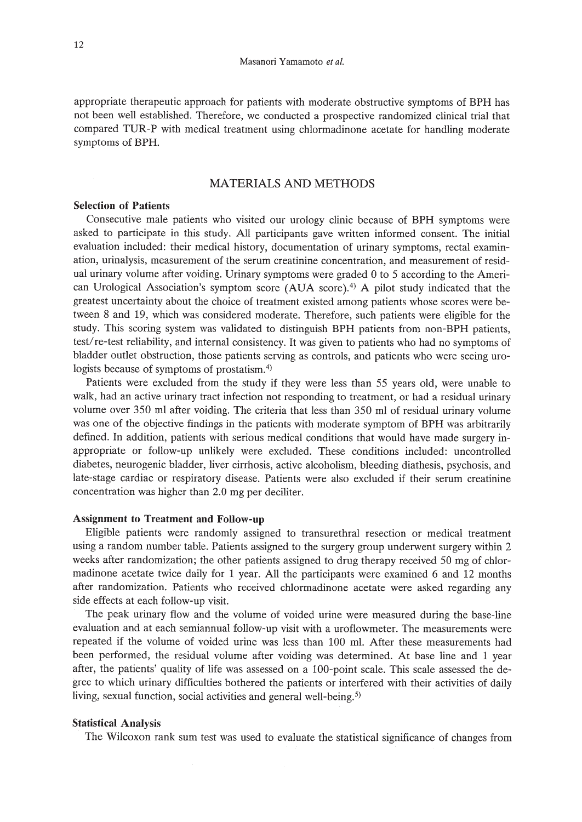appropriate therapeutic approach for patients with moderate obstructive symptoms of BPH has not been well established. Therefore, we conducted a prospective randomized clinical trial that compared TUR-P with medical treatment using chlormadinone acetate for handling moderate symptoms of BPH.

# MATERIALS AND METHODS

# Selection of Patients

Consecutive male patients who visited our urology clinic because of BPH symptoms were asked to participate in this study. All participants gave written informed consent. The initial evaluation included: their medical history, documentation of urinary symptoms, rectal examination, urinalysis, measurement of the serum creatinine concentration, and measurement of residual urinary volume after voiding. Urinary symptoms were graded 0 to 5 according to the American Urological Association's symptom score (AUA score).<sup>4)</sup> A pilot study indicated that the greatest uncertainty about the choice of treatment existed among patients whose scores were between 8 and 19, which was considered moderate. Therefore, such patients were eligible for the study. This scoring system was validated to distinguish BPH patients from non-BPH patients, test/re-test reliability, and internal consistency. It was given to patients who had no symptoms of bladder outlet obstruction, those patients serving as controls, and patients who were seeing urologists because of symptoms of prostatism.<sup>4)</sup>

Patients were excluded from the study if they were less than 55 years old, were unable to walk, had an active urinary tract infection not responding to treatment, or had a residual urinary volume over 350 ml after voiding. The criteria that less than 350 ml of residual urinary volume was one of the objective findings in the patients with moderate symptom of BPH was arbitrarily defined. In addition, patients with serious medical conditions that would have made surgery inappropriate or follow-up unlikely were excluded. These conditions included: uncontrolled diabetes, neurogenic bladder, liver cirrhosis, active alcoholism, bleeding diathesis, psychosis, and late-stage cardiac or respiratory disease. Patients were also excluded if their serum creatinine concentration was higher than 2.0 mg per deciliter.

### Assignment to Treatment and Follow-up

Eligible patients were randomly assigned to transurethral resection or medical treatment using a random number table. Patients assigned to the surgery group underwent surgery within 2 weeks after randomization; the other patients assigned to drug therapy received 50 mg of chlormadinone acetate twice daily for 1 year. All the participants were examined 6 and 12 months after randomization. Patients who received chlormadinone acetate were asked regarding any side effects at each follow-up visit.

The peak urinary flow and the volume of voided urine were measured during the base-line evaluation and at each semiannual follow-up visit with a uroflowmeter. The measurements were repeated if the volume of voided urine was less than 100 m!. After these measurements had been performed, the residual volume after voiding was determined. At base line and 1 year after, the patients' quality of life was assessed on a 100-point scale. This scale assessed the degree to which urinary difficulties bothered the patients or interfered with their activities of daily living, sexual function, social activities and general well-being.<sup>5)</sup>

#### Statistical Analysis

The Wilcoxon rank sum test was used to evaluate the statistical significance of changes from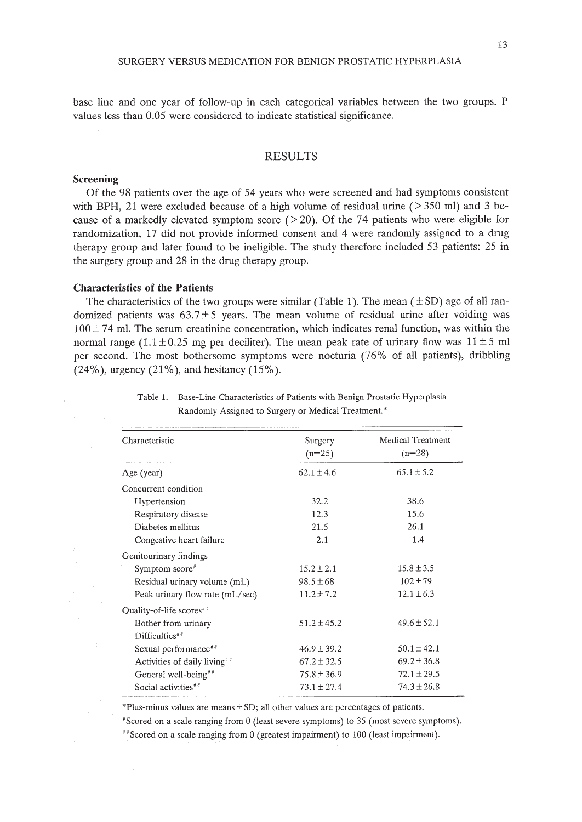13

base line and one year of follow-up in each categorical variables between the two groups. P values less than 0.05 were considered to indicate statistical significance.

#### RESULTS

#### **Screening**

Of the 98 patients over the age of 54 years who were screened and had symptoms consistent with BPH, 21 were excluded because of a high volume of residual urine  $($  > 350 ml) and 3 because of a markedly elevated symptom score  $($  > 20). Of the 74 patients who were eligible for randomization, 17 did not provide informed consent and 4 were randomly assigned to a drug therapy group and later found to be ineligible. The study therefore included 53 patients: 25 in the surgery group and 28 in the drug therapy group.

#### **Characteristics of the Patients**

The characteristics of the two groups were similar (Table 1). The mean  $(\pm SD)$  age of all randomized patients was  $63.7 \pm 5$  years. The mean volume of residual urine after voiding was  $100 \pm 74$  ml. The serum creatinine concentration, which indicates renal function, was within the normal range (1.1 $\pm$ 0.25 mg per deciliter). The mean peak rate of urinary flow was 11 $\pm$ 5 ml per second. The most bothersome symptoms were nocturia (76% of all patients), dribbling (24%), urgency (21%), and hesitancy (15%).

| Characteristic                           | Surgery<br>$(n=25)$ | <b>Medical Treatment</b><br>$(n=28)$ |  |
|------------------------------------------|---------------------|--------------------------------------|--|
| Age (year)                               | $62.1 \pm 4.6$      | $65.1 \pm 5.2$                       |  |
| Concurrent condition                     |                     |                                      |  |
| Hypertension                             | 32.2                | 38.6                                 |  |
| Respiratory disease                      | 12.3                | 15.6                                 |  |
| Diabetes mellitus                        | 21.5                | 26.1                                 |  |
| Congestive heart failure                 | 2.1                 | 1.4                                  |  |
| Genitourinary findings                   |                     |                                      |  |
| Symptom score#                           | $15.2 \pm 2.1$      | $15.8 \pm 3.5$                       |  |
| Residual urinary volume (mL)             | $98.5 \pm 68$       | $102 \pm 79$                         |  |
| Peak urinary flow rate (mL/sec)          | $11.2 \pm 7.2$      | $12.1 \pm 6.3$                       |  |
| Quality-of-life scores <sup>##</sup>     |                     |                                      |  |
| Bother from urinary                      | $51.2 + 45.2$       | $49.6 \pm 52.1$                      |  |
| Difficulties <sup>##</sup>               |                     |                                      |  |
| Sexual performance <sup>##</sup>         | $46.9 \pm 39.2$     | $50.1 \pm 42.1$                      |  |
| Activities of daily living <sup>##</sup> | $67.2 \pm 32.5$     | $69.2 \pm 36.8$                      |  |
| General well-being <sup>##</sup>         | $75.8 \pm 36.9$     | $72.1 \pm 29.5$                      |  |
| Social activities <sup>##</sup>          | $73.1 \pm 27.4$     | $74.3 \pm 26.8$                      |  |
|                                          |                     |                                      |  |

Table 1. Base-Line Characteristics of Patients with Benign Prostatic Hyperplasia Randomly Assigned to Surgery or Medical Treatment.\*

 $*$ Plus-minus values are means  $\pm$  SD; all other values are percentages of patients.

'Scored on a scale ranging from 0 (least severe symptoms) to 35 (most severe symptoms).

"Scored on a scale ranging from 0 (greatest impairment) to 100 (least impairment).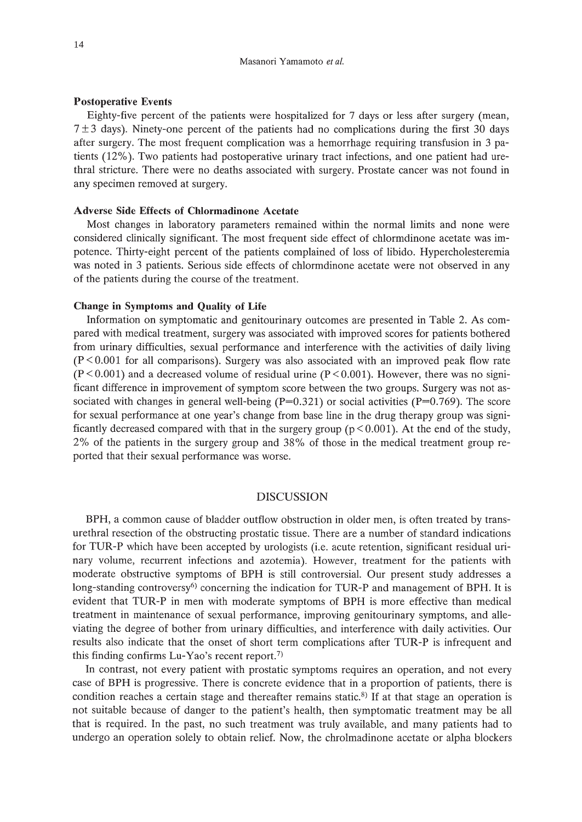#### **Postoperative Events**

Eighty-five percent of the patients were hospitalized for 7 days or less after surgery (mean,  $7 \pm 3$  days). Ninety-one percent of the patients had no complications during the first 30 days after surgery. The most frequent complication was a hemorrhage requiring transfusion in 3 patients (12%). Two patients had postoperative urinary tract infections, and one patient had urethral stricture. There were no deaths associated with surgery. Prostate cancer was not found in any specimen removed at surgery.

#### **Adverse Side Effects of Chlormadinone Acetate**

Most changes in laboratory parameters remained within the normal limits and none were considered clinically significant. The most frequent side effect of chlormdinone acetate was impotence. Thirty-eight percent of the patients complained of loss of libido. Hypercholesteremia was noted in 3 patients. Serious side effects of chlormdinone acetate were not observed in any of the patients during the course of the treatment.

#### **Change in Symptoms and Quality of Life**

Information on symptomatic and genitourinary outcomes are presented in Table 2. As compared with medical treatment, surgery was associated with improved scores for patients bothered from urinary difficulties, sexual performance and interference with the activities of daily living  $(P<0.001$  for all comparisons). Surgery was also associated with an improved peak flow rate  $(P<0.001)$  and a decreased volume of residual urine  $(P<0.001)$ . However, there was no significant difference in improvement of symptom score between the two groups. Surgery was not associated with changes in general well-being  $(P=0.321)$  or social activities  $(P=0.769)$ . The score for sexual performance at one year's change from base line in the drug therapy group was significantly decreased compared with that in the surgery group ( $p < 0.001$ ). At the end of the study, 2% of the patients in the surgery group and 38% of those in the medical treatment group reported that their sexual performance was worse.

## DISCUSSION

BPH, a common cause of bladder outflow obstruction in older men, is often treated by transurethral resection of the obstructing prostatic tissue. There are a number of standard indications for TUR-P which have been accepted by urologists (i.e. acute retention, significant residual urinary volume, recurrent infections and azotemia). However, treatment for the patients with moderate obstructive symptoms of BPH is still controversial. Our present study addresses a long-standing controversy<sup>6)</sup> concerning the indication for TUR-P and management of BPH. It is evident that TUR-P in men with moderate symptoms of BPH is more effective than medical treatment in maintenance of sexual performance, improving genitourinary symptoms, and alleviating the degree of bother from urinary difficulties, and interference with daily activities. Our results also indicate that the onset of short term complications after TUR-P is infrequent and this finding confirms Lu-Yao's recent report.<sup>7)</sup>

In contrast, not every patient with prostatic symptoms requires an operation, and not every case of BPH is progressive. There is concrete evidence that in a proportion of patients, there is condition reaches a certain stage and thereafter remains static.<sup>8)</sup> If at that stage an operation is not suitable because of danger to the patient's health, then symptomatic treatment may be all that is required. In the past, no such treatment was truly available, and many patients had to undergo an operation solely to obtain relief. Now, the chrolmadinone acetate or alpha blockers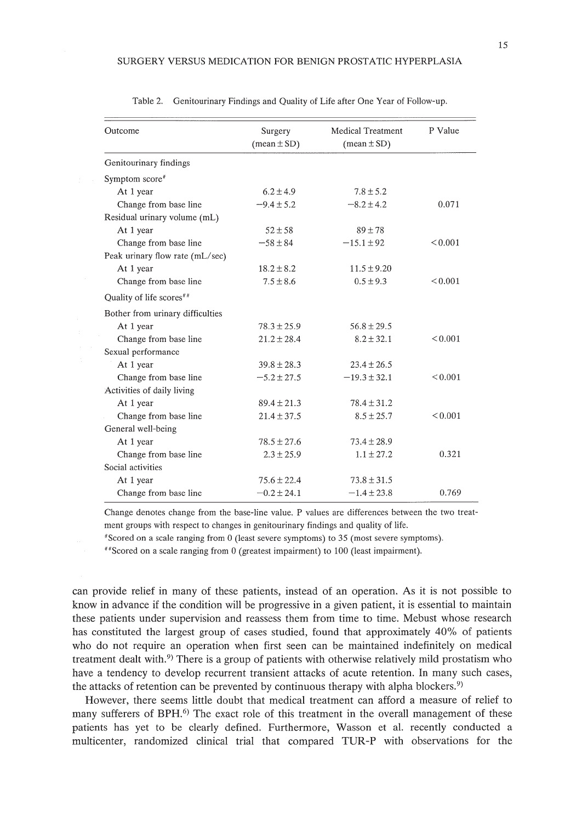| Outcome                              | Surgery<br>$(\text{mean} \pm SD)$ | Medical Treatment<br>$(\text{mean} \pm \text{SD})$ | P Value      |
|--------------------------------------|-----------------------------------|----------------------------------------------------|--------------|
| Genitourinary findings               |                                   |                                                    |              |
| Symptom score#                       |                                   |                                                    |              |
| At 1 year                            | $6.2 \pm 4.9$                     | $7.8 \pm 5.2$                                      |              |
| Change from base line                | $-9.4 \pm 5.2$                    | $-8.2 \pm 4.2$                                     | 0.071        |
| Residual urinary volume (mL)         |                                   |                                                    |              |
| At 1 year                            | $52 \pm 58$                       | $89 \pm 78$                                        |              |
| Change from base line                | $-58 \pm 84$                      | $-15.1 \pm 92$                                     | < 0.001      |
| Peak urinary flow rate (mL/sec)      |                                   |                                                    |              |
| At 1 year                            | $18.2 \pm 8.2$                    | $11.5 \pm 9.20$                                    |              |
| Change from base line                | $7.5 \pm 8.6$                     | $0.5 \pm 9.3$                                      | ${}_{0.001}$ |
| Quality of life scores <sup>##</sup> |                                   |                                                    |              |
| Bother from urinary difficulties     |                                   |                                                    |              |
| At 1 year                            | $78.3 \pm 25.9$                   | $56.8 + 29.5$                                      |              |
| Change from base line                | $21.2 \pm 28.4$                   | $8.2 \pm 32.1$                                     | ${}_{0.001}$ |
| Sexual performance                   |                                   |                                                    |              |
| At 1 year                            | $39.8 \pm 28.3$                   | $23.4 \pm 26.5$                                    |              |
| Change from base line                | $-5.2 \pm 27.5$                   | $-19.3 \pm 32.1$                                   | < 0.001      |
| Activities of daily living           |                                   |                                                    |              |
| At 1 year                            | $89.4 \pm 21.3$                   | $78.4 \pm 31.2$                                    |              |
| Change from base line                | $21.4 \pm 37.5$                   | $8.5 \pm 25.7$                                     | < 0.001      |
| General well-being                   |                                   |                                                    |              |
| At 1 year                            | $78.5 \pm 27.6$                   | $73.4 \pm 28.9$                                    |              |
| Change from base line                | $2.3 \pm 25.9$                    | $1.1 \pm 27.2$                                     | 0.321        |
| Social activities                    |                                   |                                                    |              |
| At 1 year                            | $75.6 \pm 22.4$                   | $73.8 \pm 31.5$                                    |              |
| Change from base line                | $-0.2 \pm 24.1$                   | $-1.4 \pm 23.8$                                    | 0.769        |

Table 2. Genitourinary Findings and Quality of Life after One Year of Follow-up.

Change denotes change from the base-line value. P values are differences between the two treatment groups with respect to changes in genitourinary findings and quality of life.

 $*$ Scored on a scale ranging from 0 (least severe symptoms) to 35 (most severe symptoms).

"Scored on a scale ranging from 0 (greatest impairment) to 100 (least impairment).

can provide relief in many of these patients, instead of an operation. As it is not possible to know in advance if the condition will be progressive in a given patient, it is essential to maintain these patients under supervision and reassess them from time to time. Mebust whose research has constituted the largest group of cases studied, found that approximately 40% of patients who do not require an operation when first seen can be maintained indefinitely on medical treatment dealt with.<sup>9</sup> There is a group of patients with otherwise relatively mild prostatism who have a tendency to develop recurrent transient attacks of acute retention. In many such cases, the attacks of retention can be prevented by continuous therapy with alpha blockers.<sup>9)</sup>

However, there seems little doubt that medical treatment can afford a measure of relief to many sufferers of BPH.<sup>6)</sup> The exact role of this treatment in the overall management of these patients has yet to be clearly defined. Furthermore, Wasson et al. recently conducted a multicenter, randomized clinical trial that compared TUR-P with observations for the